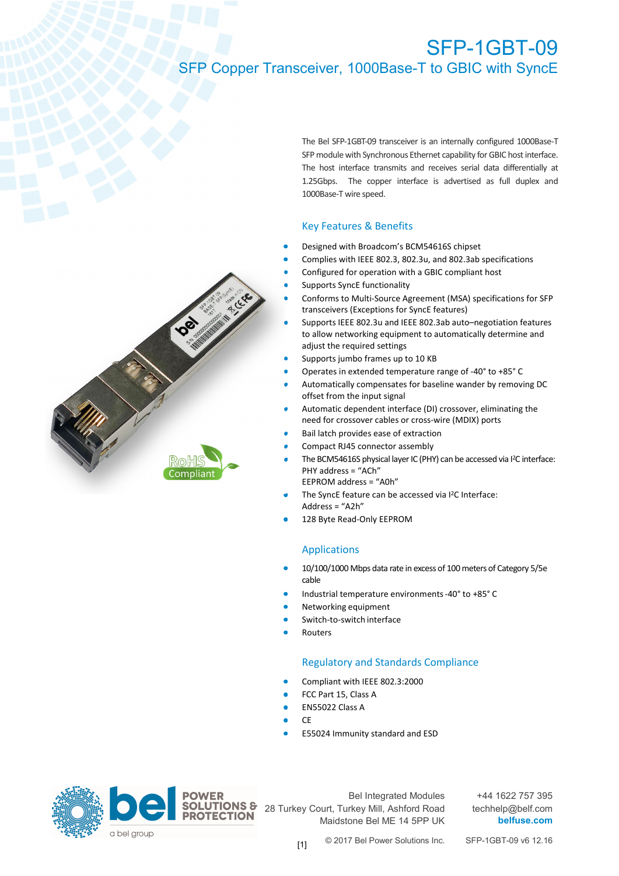### SFP-1GBT-09 SFP Copper Transceiver, 1000Base-T to GBIC with SyncE



The Bel SFP-1GBT-09 transceiver is an internally configured 1000Base-T SFP module with Synchronous Ethernet capability for GBIC host interface. The host interface transmits and receives serial data differentially at 1.25Gbps. The copper interface is advertised as full duplex and 1000Base-T wire speed.

### Key Features & Benefits

- Designed with Broadcom's BCM54616S chipset
- Complies with IEEE 802.3, 802.3u, and 802.3ab specifications
- Configured for operation with a GBIC compliant host
- Supports SyncE functionality
- Conforms to Multi-Source Agreement (MSA) specifications for SFP transceivers (Exceptions for SyncE features)
- Supports IEEE 802.3u and IEEE 802.3ab auto–negotiation features to allow networking equipment to automatically determine and adjust the required settings
- Supports jumbo frames up to 10 KB
- Operates in extended temperature range of -40° to +85° C
- Automatically compensates for baseline wander by removing DC offset from the input signal
- Automatic dependent interface (DI) crossover, eliminating the need for crossover cables or cross-wire (MDIX) ports
- Bail latch provides ease of extraction
- Compact RJ45 connector assembly
- The BCM54616S physical layer IC (PHY) can be accessed via I<sup>2</sup>C interface: PHY address = "ACh" EEPROM address = "A0h"
- The SyncE feature can be accessed via I<sup>2</sup>C Interface: Address = "A2h"
- 128 Byte Read-Only EEPROM

#### Applications

- 10/100/1000 Mbps data rate in excess of 100 meters of Category 5/5e cable
- Industrial temperature environments -40° to +85° C
- Networking equipment
- Switch-to-switch interface
- Routers

#### Regulatory and Standards Compliance

- Compliant with IEEE 802.3:2000
- FCC Part 15, Class A
- EN55022 Class A
- CE
- E55024 Immunity standard and ESD



Bel Integrated Modules 28 Turkey Court, Turkey Mill, Ashford Road Maidstone Bel ME 14 5PP UK

+44 1622 757 395 techhelp@belf.com  **belfuse.com**

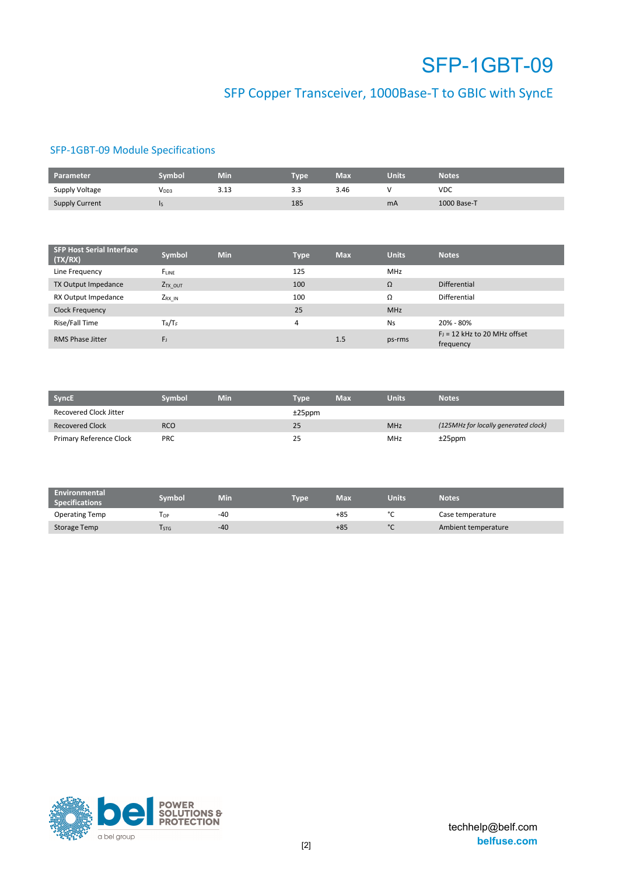## SFP Copper Transceiver, 1000Base-T to GBIC with SyncE

### SFP-1GBT-09 Module Specifications

| Parameter             | ivmbol           | Min  | <b>Type</b> | Max  | <b>Units</b> | <b>Notes</b> |
|-----------------------|------------------|------|-------------|------|--------------|--------------|
| Supply Voltage        | V <sub>DD3</sub> | 5.15 | 3.3         | 3.46 |              | <b>VDC</b>   |
| <b>Supply Current</b> | ıs               |      | 185         |      | mA           | 1000 Base-T  |

| <b>SFP Host Serial Interface</b><br>(TX/RX) | Symbol              | <b>Min</b> | Type | <b>Max</b> | <b>Units</b> | <b>Notes</b>                                |
|---------------------------------------------|---------------------|------------|------|------------|--------------|---------------------------------------------|
| Line Frequency                              | FLINE               |            | 125  |            | <b>MHz</b>   |                                             |
| TX Output Impedance                         | Z <sub>TX_OUT</sub> |            | 100  |            | Ω            | <b>Differential</b>                         |
| RX Output Impedance                         | ZRX IN              |            | 100  |            | Ω            | Differential                                |
| <b>Clock Frequency</b>                      |                     |            | 25   |            | <b>MHz</b>   |                                             |
| Rise/Fall Time                              | $T_R/T_F$           |            | 4    |            | Ns           | 20% - 80%                                   |
| <b>RMS Phase Jitter</b>                     | $F_{\rm J}$         |            |      | 1.5        | ps-rms       | $FJ = 12$ kHz to 20 MHz offset<br>frequency |

| <b>SyncE</b>            | Svmbol     | Min | Tvpe      | Max | <b>Units</b> | <b>Notes</b>                         |
|-------------------------|------------|-----|-----------|-----|--------------|--------------------------------------|
| Recovered Clock Jitter  |            |     | $±25$ ppm |     |              |                                      |
| <b>Recovered Clock</b>  | <b>RCO</b> |     | 25        |     | <b>MHz</b>   | (125MHz for locally generated clock) |
| Primary Reference Clock | <b>PRC</b> |     | 25        |     | <b>MHz</b>   | $±25$ ppm                            |

| <b>Environmental</b><br><b>Specifications</b> | Svmbol | Min | Tvpe <sup>1</sup> | Max   | <b>Units</b> | <b>Notes</b>        |
|-----------------------------------------------|--------|-----|-------------------|-------|--------------|---------------------|
| <b>Operating Temp</b>                         | l or   | -40 |                   | $+85$ | $\sim$       | Case temperature    |
| Storage Temp                                  | l stg  | -40 |                   | $+85$ | $\sim$       | Ambient temperature |

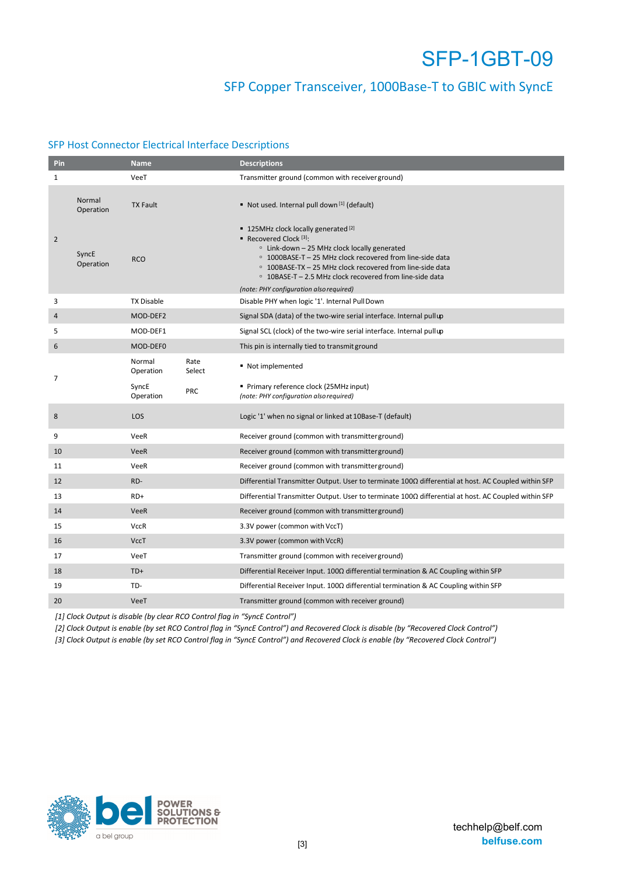### SFP Copper Transceiver, 1000Base-T to GBIC with SyncE

### SFP Host Connector Electrical Interface Descriptions

| Pin            |                     | <b>Name</b>         |                | <b>Descriptions</b>                                                                                                                                                                                                                                                                                         |
|----------------|---------------------|---------------------|----------------|-------------------------------------------------------------------------------------------------------------------------------------------------------------------------------------------------------------------------------------------------------------------------------------------------------------|
| $\mathbf{1}$   |                     | VeeT                |                | Transmitter ground (common with receiver ground)                                                                                                                                                                                                                                                            |
|                | Normal<br>Operation | <b>TX Fault</b>     |                | Not used. Internal pull down [1] (default)                                                                                                                                                                                                                                                                  |
| $\overline{2}$ | SyncE<br>Operation  | <b>RCO</b>          |                | ■ 125MHz clock locally generated [2]<br>Recovered Clock $[3]$ :<br>$\circ$ Link-down - 25 MHz clock locally generated<br>○ 1000BASE-T - 25 MHz clock recovered from line-side data<br>○ 100BASE-TX - 25 MHz clock recovered from line-side data<br>○ 10BASE-T - 2.5 MHz clock recovered from line-side data |
|                |                     |                     |                | (note: PHY configuration also required)                                                                                                                                                                                                                                                                     |
| 3              |                     | <b>TX Disable</b>   |                | Disable PHY when logic '1'. Internal PullDown                                                                                                                                                                                                                                                               |
| $\overline{4}$ |                     | MOD-DEF2            |                | Signal SDA (data) of the two-wire serial interface. Internal pull up                                                                                                                                                                                                                                        |
| 5              |                     | MOD-DEF1            |                | Signal SCL (clock) of the two-wire serial interface. Internal pull up                                                                                                                                                                                                                                       |
| 6              |                     | MOD-DEF0            |                | This pin is internally tied to transmit ground                                                                                                                                                                                                                                                              |
|                |                     | Normal<br>Operation | Rate<br>Select | Not implemented                                                                                                                                                                                                                                                                                             |
| 7              |                     | SyncE<br>Operation  | <b>PRC</b>     | Primary reference clock (25MHz input)<br>(note: PHY configuration also required)                                                                                                                                                                                                                            |
| 8              |                     | LOS                 |                | Logic '1' when no signal or linked at 10Base-T (default)                                                                                                                                                                                                                                                    |
| 9              |                     | VeeR                |                | Receiver ground (common with transmitter ground)                                                                                                                                                                                                                                                            |
| 10             |                     | <b>VeeR</b>         |                | Receiver ground (common with transmitter ground)                                                                                                                                                                                                                                                            |
| 11             |                     | VeeR                |                | Receiver ground (common with transmitter ground)                                                                                                                                                                                                                                                            |
| 12             |                     | RD-                 |                | Differential Transmitter Output. User to terminate 1000 differential at host. AC Coupled within SFP                                                                                                                                                                                                         |
| 13             |                     | RD+                 |                | Differential Transmitter Output. User to terminate $100\Omega$ differential at host. AC Coupled within SFP                                                                                                                                                                                                  |
| 14             |                     | <b>VeeR</b>         |                | Receiver ground (common with transmitter ground)                                                                                                                                                                                                                                                            |
| 15             |                     | <b>VccR</b>         |                | 3.3V power (common with VccT)                                                                                                                                                                                                                                                                               |
| 16             |                     | <b>VccT</b>         |                | 3.3V power (common with VccR)                                                                                                                                                                                                                                                                               |
| 17             |                     | VeeT                |                | Transmitter ground (common with receiver ground)                                                                                                                                                                                                                                                            |
| 18             |                     | $TD+$               |                | Differential Receiver Input. $100\Omega$ differential termination & AC Coupling within SFP                                                                                                                                                                                                                  |
| 19             |                     | TD-                 |                | Differential Receiver Input. 100 $\Omega$ differential termination & AC Coupling within SFP                                                                                                                                                                                                                 |
| 20             |                     | VeeT                |                | Transmitter ground (common with receiver ground)                                                                                                                                                                                                                                                            |

*[1] Clock Output is disable (by clear RCO Control flag in "SyncE Control")* 

*[2] Clock Output is enable (by set RCO Control flag in "SyncE Control") and Recovered Clock is disable (by "Recovered Clock Control")* 

*[3] Clock Output is enable (by set RCO Control flag in "SyncE Control") and Recovered Clock is enable (by "Recovered Clock Control")* 

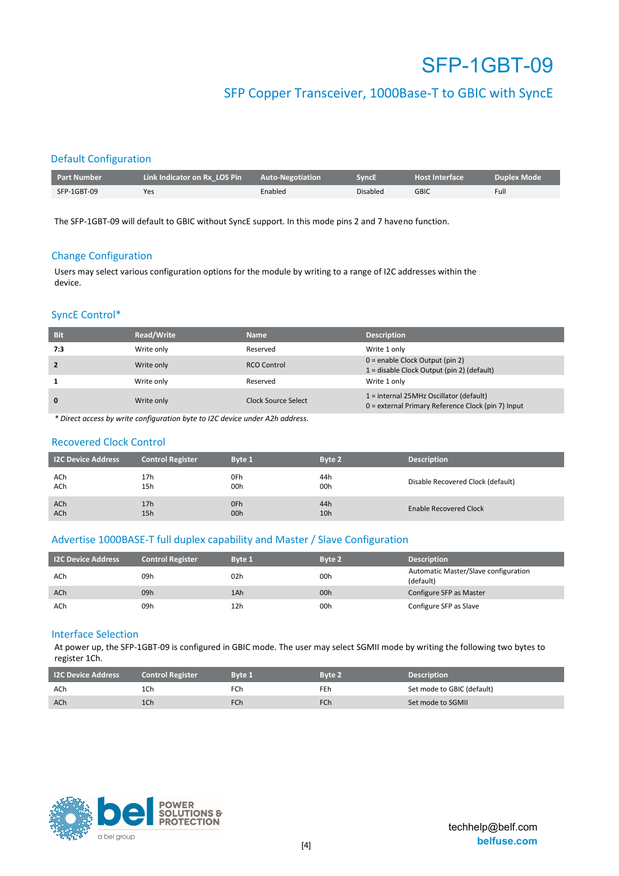### SFP Copper Transceiver, 1000Base-T to GBIC with SyncE

### Default Configuration

| Part Number | Link Indicator on Rx LOS Pin | <b>Auto-Negotiation</b> | <b>SyncE</b>    | <b>Host Interface</b> | <b>Duplex Mode</b> |
|-------------|------------------------------|-------------------------|-----------------|-----------------------|--------------------|
| SFP-1GBT-09 | Yes                          | Enabled                 | <b>Disabled</b> | GBIC                  | Full               |

The SFP-1GBT-09 will default to GBIC without SyncE support. In this mode pins 2 and 7 haveno function.

#### Change Configuration

Users may select various configuration options for the module by writing to a range of I2C addresses within the device.

#### SyncE Control\*

| <b>Bit</b>     | Read/Write | <b>Name</b>         | <b>Description</b>                                                                            |
|----------------|------------|---------------------|-----------------------------------------------------------------------------------------------|
| 7:3            | Write only | Reserved            | Write 1 only                                                                                  |
| $\overline{2}$ | Write only | RCO Control         | $0 =$ enable Clock Output (pin 2)<br>1 = disable Clock Output (pin 2) (default)               |
|                | Write only | Reserved            | Write 1 only                                                                                  |
| $\mathbf{0}$   | Write only | Clock Source Select | 1 = internal 25MHz Oscillator (default)<br>0 = external Primary Reference Clock (pin 7) Input |

*\* Direct access by write configuration byte to I2C device under A2h address.* 

#### Recovered Clock Control

| <b>I2C Device Address</b> | <b>Control Register</b> | Byte 1 | Byte 2 | <b>Description</b>                |
|---------------------------|-------------------------|--------|--------|-----------------------------------|
| ACh                       | 17h                     | 0Fh    | 44h    | Disable Recovered Clock (default) |
| ACh                       | 15h                     | 00h    | 00h    |                                   |
| ACh                       | 17 <sub>h</sub>         | 0Fh    | 44h    | Enable Recovered Clock            |
| ACh                       | 15h                     | 00h    | 10h    |                                   |

#### Advertise 1000BASE-T full duplex capability and Master / Slave Configuration

| <b>I2C Device Address</b> | <b>Control Register</b> | <b>Byte 1</b> | Byte 2 | <b>Description</b>                                |
|---------------------------|-------------------------|---------------|--------|---------------------------------------------------|
| ACh                       | 09h                     | 02h           | 00h    | Automatic Master/Slave configuration<br>(default) |
| ACh                       | 09h                     | 1Ah           | 00h    | Configure SFP as Master                           |
| ACh                       | 09h                     | 12h           | 00h    | Configure SFP as Slave                            |

#### Interface Selection

At power up, the SFP-1GBT-09 is configured in GBIC mode. The user may select SGMII mode by writing the following two bytes to register 1Ch.

| <b>I2C Device Address</b> | <b>Control Register</b> | <b>Byte 1</b>   | Byte 2     | <b>Description</b>         |
|---------------------------|-------------------------|-----------------|------------|----------------------------|
| ACh                       | 1Ch                     | FCh             | FEh        | Set mode to GBIC (default) |
| ACh                       | 1Ch                     | FC <sub>h</sub> | <b>FCh</b> | Set mode to SGMII          |

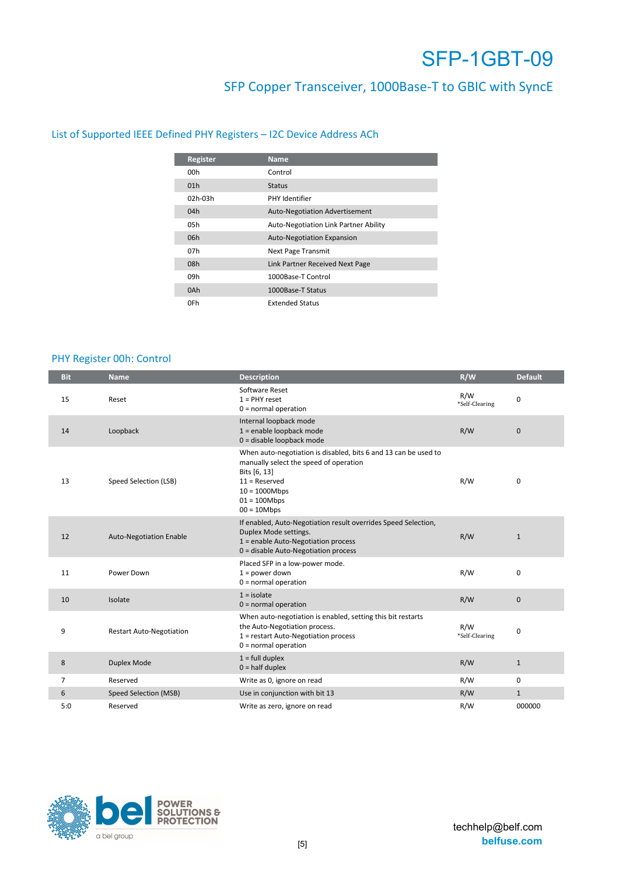### SFP Copper Transceiver, 1000Base-T to GBIC with SyncE

### List of Supported IEEE Defined PHY Registers – I2C Device Address ACh

| Register        | <b>Name</b>                           |
|-----------------|---------------------------------------|
| 00h             | Control                               |
| 01 <sub>h</sub> | <b>Status</b>                         |
| 02h-03h         | <b>PHY Identifier</b>                 |
| 04h             | <b>Auto-Negotiation Advertisement</b> |
| 05h             | Auto-Negotiation Link Partner Ability |
| 06h             | Auto-Negotiation Expansion            |
| 07h             | Next Page Transmit                    |
| 08h             | Link Partner Received Next Page       |
| 09h             | 1000Base-T Control                    |
| 0Ah             | 1000Base-T Status                     |
| 0Fh             | <b>Extended Status</b>                |

### PHY Register 00h: Control

| <b>Bit</b> | <b>Name</b>                     | <b>Description</b>                                                                                                                                                                                  | R/W                   | <b>Default</b> |
|------------|---------------------------------|-----------------------------------------------------------------------------------------------------------------------------------------------------------------------------------------------------|-----------------------|----------------|
| 15         | Reset                           | Software Reset<br>$1 =$ PHY reset<br>$0 = normal operation$                                                                                                                                         | R/W<br>*Self-Clearing | 0              |
| 14         | Loopback                        | Internal loopback mode<br>1 = enable loopback mode<br>0 = disable loopback mode                                                                                                                     | R/W                   | $\mathbf{0}$   |
| 13         | Speed Selection (LSB)           | When auto-negotiation is disabled, bits 6 and 13 can be used to<br>manually select the speed of operation<br>Bits [6, 13]<br>$11 =$ Reserved<br>$10 = 1000Mbps$<br>$01 = 100Mbps$<br>$00 = 10$ Mbps | R/W                   | 0              |
| 12         | <b>Auto-Negotiation Enable</b>  | If enabled, Auto-Negotiation result overrides Speed Selection,<br>Duplex Mode settings.<br>1 = enable Auto-Negotiation process<br>0 = disable Auto-Negotiation process                              | R/W                   | $\mathbf{1}$   |
| 11         | Power Down                      | Placed SFP in a low-power mode.<br>$1 = power down$<br>$0 = normal operation$                                                                                                                       | R/W                   | 0              |
| 10         | Isolate                         | $1 =$ isolate<br>$0 = normal operation$                                                                                                                                                             | R/W                   | $\mathbf 0$    |
| 9          | <b>Restart Auto-Negotiation</b> | When auto-negotiation is enabled, setting this bit restarts<br>the Auto-Negotiation process.<br>1 = restart Auto-Negotiation process<br>$0 = normal operation$                                      | R/W<br>*Self-Clearing | 0              |
| 8          | Duplex Mode                     | $1 = full \n  duplex$<br>$0 =$ half duplex                                                                                                                                                          | R/W                   | $\mathbf{1}$   |
| 7          | Reserved                        | Write as 0, ignore on read                                                                                                                                                                          | R/W                   | 0              |
| 6          | Speed Selection (MSB)           | Use in conjunction with bit 13                                                                                                                                                                      | R/W                   | $\mathbf{1}$   |
| 5:0        | Reserved                        | Write as zero, ignore on read                                                                                                                                                                       | R/W                   | 000000         |

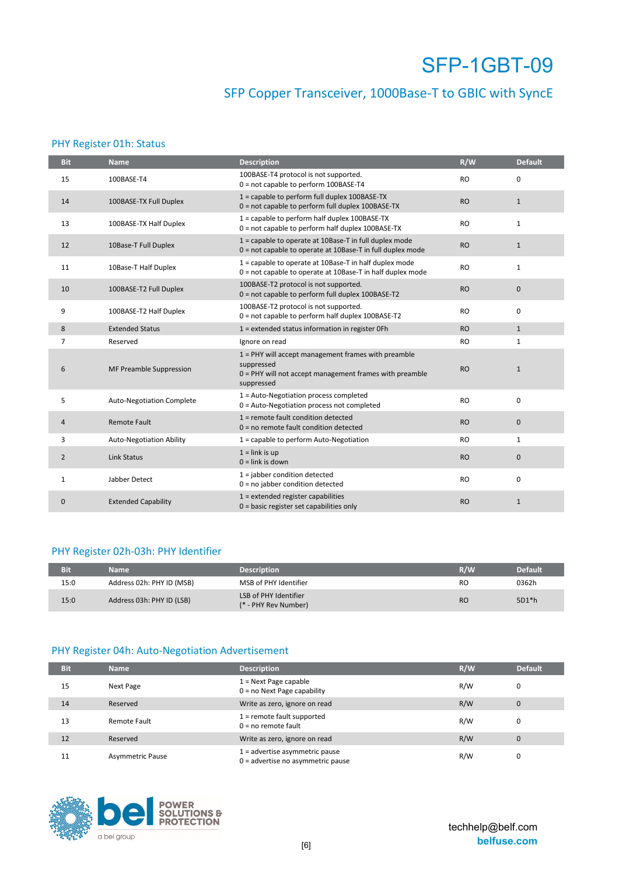## SFP Copper Transceiver, 1000Base-T to GBIC with SyncE

### PHY Register 01h: Status

| <b>Bit</b>     | <b>Name</b>                     | <b>Description</b>                                                                                                                           | R/W       | <b>Default</b> |
|----------------|---------------------------------|----------------------------------------------------------------------------------------------------------------------------------------------|-----------|----------------|
| 15             | 100BASE-T4                      | 100BASE-T4 protocol is not supported.<br>0 = not capable to perform 100BASE-T4                                                               | <b>RO</b> | $\Omega$       |
| 14             | 100BASE-TX Full Duplex          | 1 = capable to perform full duplex 100BASE-TX<br>0 = not capable to perform full duplex 100BASE-TX                                           | <b>RO</b> | $\mathbf{1}$   |
| 13             | 100BASE-TX Half Duplex          | 1 = capable to perform half duplex 100BASE-TX<br>0 = not capable to perform half duplex 100BASE-TX                                           | <b>RO</b> | $\mathbf{1}$   |
| 12             | 10Base-T Full Duplex            | 1 = capable to operate at 10Base-T in full duplex mode<br>0 = not capable to operate at 10Base-T in full duplex mode                         | <b>RO</b> | $\mathbf{1}$   |
| 11             | 10Base-T Half Duplex            | 1 = capable to operate at 10Base-T in half duplex mode<br>0 = not capable to operate at 10Base-T in half duplex mode                         | <b>RO</b> | $\mathbf{1}$   |
| 10             | 100BASE-T2 Full Duplex          | 100BASE-T2 protocol is not supported.<br>0 = not capable to perform full duplex 100BASE-T2                                                   | <b>RO</b> | $\mathbf{0}$   |
| 9              | 100BASE-T2 Half Duplex          | 100BASE-T2 protocol is not supported.<br>$0 = not capable to perform half duplex 100BASE-T2$                                                 | <b>RO</b> | $\mathbf 0$    |
| 8              | <b>Extended Status</b>          | 1 = extended status information in register OFh                                                                                              | <b>RO</b> | $\mathbf{1}$   |
| $\overline{7}$ | Reserved                        | Ignore on read                                                                                                                               | <b>RO</b> | $\mathbf{1}$   |
| 6              | MF Preamble Suppression         | $1$ = PHY will accept management frames with preamble<br>suppressed<br>0 = PHY will not accept management frames with preamble<br>suppressed | <b>RO</b> | $\mathbf{1}$   |
| 5              | Auto-Negotiation Complete       | 1 = Auto-Negotiation process completed<br>0 = Auto-Negotiation process not completed                                                         | <b>RO</b> | $\mathbf 0$    |
| 4              | <b>Remote Fault</b>             | 1 = remote fault condition detected<br>$0 = no$ remote fault condition detected                                                              | <b>RO</b> | $\mathbf 0$    |
| 3              | <b>Auto-Negotiation Ability</b> | 1 = capable to perform Auto-Negotiation                                                                                                      | <b>RO</b> | $\mathbf{1}$   |
| $\overline{2}$ | <b>Link Status</b>              | $1 =$ link is up<br>$0 =$ link is down                                                                                                       | <b>RO</b> | $\mathbf 0$    |
| $\mathbf{1}$   | Jabber Detect                   | $1 =$ jabber condition detected<br>$0 = no$ jabber condition detected                                                                        | <b>RO</b> | $\mathbf 0$    |
| $\mathbf{0}$   | <b>Extended Capability</b>      | $1 =$ extended register capabilities<br>$0 = basic register set capabilities only$                                                           | <b>RO</b> | $\mathbf{1}$   |

### PHY Register 02h-03h: PHY Identifier

| Bit  | <b>Name</b>               | <b>Description</b>                            | R/W            | Default |
|------|---------------------------|-----------------------------------------------|----------------|---------|
| 15:0 | Address 02h: PHY ID (MSB) | MSB of PHY Identifier                         | RO             | 0362h   |
| 15:0 | Address 03h: PHY ID (LSB) | LSB of PHY Identifier<br>(* - PHY Rev Number) | R <sub>O</sub> | $5D1*h$ |

### PHY Register 04h: Auto-Negotiation Advertisement

| <b>Bit</b> | <b>Name</b>             | <b>Description</b>                                                      | R/W | <b>Default</b> |
|------------|-------------------------|-------------------------------------------------------------------------|-----|----------------|
| 15         | Next Page               | $1 =$ Next Page capable<br>$0 = no$ Next Page capability                | R/W | 0              |
| 14         | Reserved                | Write as zero, ignore on read                                           | R/W | $\mathbf{0}$   |
| 13         | Remote Fault            | $1$ = remote fault supported<br>$0 = no$ remote fault                   | R/W | 0              |
| 12         | Reserved                | Write as zero, ignore on read                                           | R/W | $\mathbf{0}$   |
| 11         | <b>Asymmetric Pause</b> | $1 =$ advertise asymmetric pause<br>$0 =$ advertise no asymmetric pause | R/W | 0              |

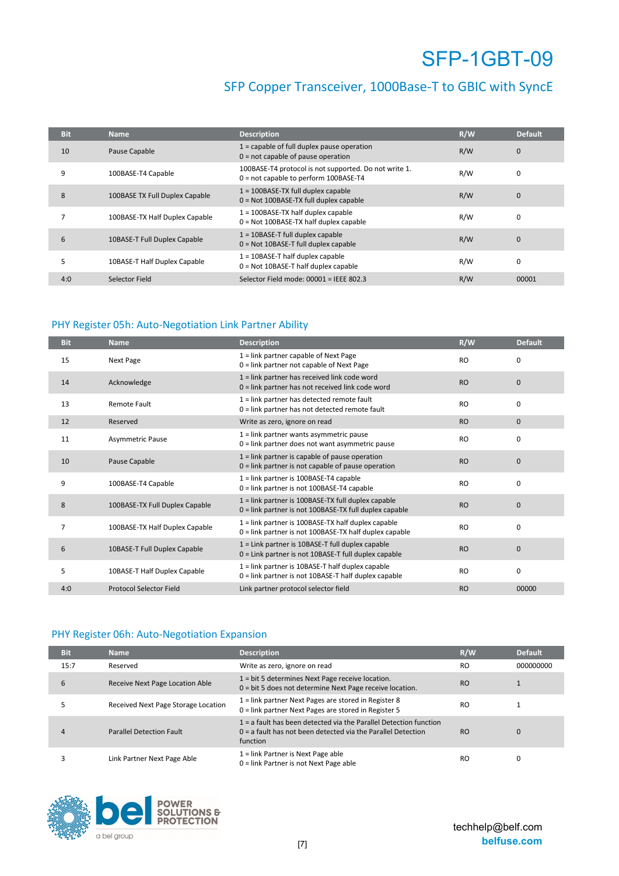### SFP Copper Transceiver, 1000Base-T to GBIC with SyncE

| <b>Bit</b> | <b>Name</b>                    | <b>Description</b>                                                                             | R/W | <b>Default</b> |
|------------|--------------------------------|------------------------------------------------------------------------------------------------|-----|----------------|
| 10         | Pause Capable                  | $1 =$ capable of full duplex pause operation<br>$0 = not capable of pause operation$           | R/W | 0              |
| 9          | 100BASE-T4 Capable             | 100BASE-T4 protocol is not supported. Do not write 1.<br>0 = not capable to perform 100BASE-T4 | R/W | 0              |
| 8          | 100BASE TX Full Duplex Capable | $1 = 100BASE-TX$ full duplex capable<br>$0 = Not 100BASE-TX$ full duplex capable               | R/W | $\mathbf{0}$   |
|            | 100BASE-TX Half Duplex Capable | $1 = 100BASE-TX$ half duplex capable<br>$0 = Not 100BASE-TX half duplex capable$               | R/W | 0              |
| 6          | 10BASE-T Full Duplex Capable   | $1 = 10BASE-T$ full duplex capable<br>$0 = Not 10BASE-T full duplex capable$                   | R/W | $\mathbf{0}$   |
| 5          | 10BASE-T Half Duplex Capable   | $1 = 10BASE-T$ half duplex capable<br>$0 = Not 10BASE-T half duplex capable$                   | R/W | 0              |
| 4:0        | Selector Field                 | Selector Field mode: $00001$ = IEEE 802.3                                                      | R/W | 00001          |

### PHY Register 05h: Auto-Negotiation Link Partner Ability

| <b>Bit</b> | <b>Name</b>                    | <b>Description</b>                                                                                               | R/W       | <b>Default</b> |
|------------|--------------------------------|------------------------------------------------------------------------------------------------------------------|-----------|----------------|
| 15         | Next Page                      | 1 = link partner capable of Next Page<br>0 = link partner not capable of Next Page                               | <b>RO</b> | 0              |
| 14         | Acknowledge                    | $1 =$ link partner has received link code word<br>$0 =$ link partner has not received link code word             | <b>RO</b> | 0              |
| 13         | Remote Fault                   | 1 = link partner has detected remote fault<br>0 = link partner has not detected remote fault                     | <b>RO</b> | 0              |
| 12         | Reserved                       | Write as zero, ignore on read                                                                                    | <b>RO</b> | $\mathbf{0}$   |
| 11         | Asymmetric Pause               | $1 =$ link partner wants asymmetric pause<br>$0 =$ link partner does not want asymmetric pause                   | <b>RO</b> | 0              |
| 10         | Pause Capable                  | $1 =$ link partner is capable of pause operation<br>$0 =$ link partner is not capable of pause operation         | <b>RO</b> | $\mathbf 0$    |
| 9          | 100BASE-T4 Capable             | 1 = link partner is 100BASE-T4 capable<br>0 = link partner is not 100BASE-T4 capable                             | <b>RO</b> | 0              |
| 8          | 100BASE-TX Full Duplex Capable | $1 =$ link partner is 100BASE-TX full duplex capable<br>$0 =$ link partner is not 100BASE-TX full duplex capable | <b>RO</b> | $\mathbf 0$    |
| 7          | 100BASE-TX Half Duplex Capable | $1 =$ link partner is 100BASE-TX half duplex capable<br>$0 =$ link partner is not 100BASE-TX half duplex capable | <b>RO</b> | 0              |
| 6          | 10BASE-T Full Duplex Capable   | $1 =$ Link partner is 10BASE-T full duplex capable<br>$0 =$ Link partner is not 10BASE-T full duplex capable     | <b>RO</b> | $\mathbf 0$    |
| 5          | 10BASE-T Half Duplex Capable   | $1 =$ link partner is 10BASE-T half duplex capable<br>$0 =$ link partner is not 10BASE-T half duplex capable     | <b>RO</b> | 0              |
| 4:0        | <b>Protocol Selector Field</b> | Link partner protocol selector field                                                                             | <b>RO</b> | 00000          |

### PHY Register 06h: Auto-Negotiation Expansion

| <b>Bit</b> | <b>Name</b>                         | <b>Description</b>                                                                                                                                | R/W       | <b>Default</b> |
|------------|-------------------------------------|---------------------------------------------------------------------------------------------------------------------------------------------------|-----------|----------------|
| 15:7       | Reserved                            | Write as zero, ignore on read                                                                                                                     | RO.       | 000000000      |
| 6          | Receive Next Page Location Able     | 1 = bit 5 determines Next Page receive location.<br>0 = bit 5 does not determine Next Page receive location.                                      | <b>RO</b> |                |
|            | Received Next Page Storage Location | 1 = link partner Next Pages are stored in Register 8<br>0 = link partner Next Pages are stored in Register 5                                      | RO        |                |
|            | <b>Parallel Detection Fault</b>     | $1 = a$ fault has been detected via the Parallel Detection function<br>$0 = a$ fault has not been detected via the Parallel Detection<br>function | <b>RO</b> | 0              |
|            | Link Partner Next Page Able         | 1 = link Partner is Next Page able<br>0 = link Partner is not Next Page able                                                                      | RO        | 0              |

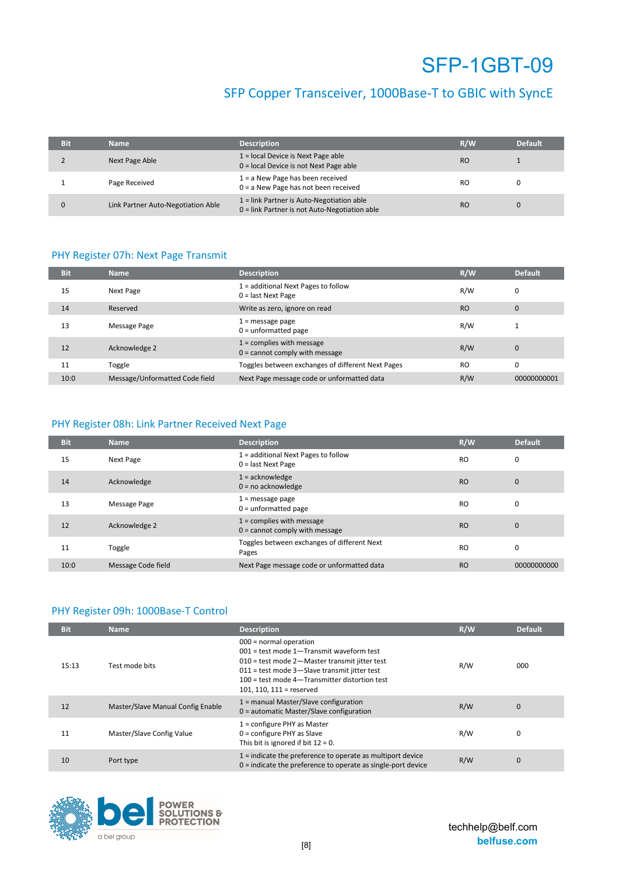## SFP Copper Transceiver, 1000Base-T to GBIC with SyncE

| <b>Bit</b> | <b>Name</b>                        | <b>Description</b>                                                                         | R/W       | <b>Default</b> |
|------------|------------------------------------|--------------------------------------------------------------------------------------------|-----------|----------------|
|            | Next Page Able                     | $1 =$ local Device is Next Page able<br>0 = local Device is not Next Page able             | <b>RO</b> |                |
|            | Page Received                      | $1 = a$ New Page has been received<br>$0 = a$ New Page has not been received               | <b>RO</b> |                |
|            | Link Partner Auto-Negotiation Able | 1 = link Partner is Auto-Negotiation able<br>0 = link Partner is not Auto-Negotiation able | <b>RO</b> |                |

#### PHY Register 07h: Next Page Transmit

| <b>Bit</b> | <b>Name</b>                    | <b>Description</b>                                              | R/W       | <b>Default</b> |
|------------|--------------------------------|-----------------------------------------------------------------|-----------|----------------|
| 15         | Next Page                      | $1 =$ additional Next Pages to follow<br>$0 =$ last Next Page   | R/W       | 0              |
| 14         | Reserved                       | Write as zero, ignore on read                                   | <b>RO</b> | $\mathbf{0}$   |
| 13         | Message Page                   | $1 =$ message page<br>$0 =$ unformatted page                    | R/W       |                |
| 12         | Acknowledge 2                  | $1 =$ complies with message<br>$0 =$ cannot comply with message | R/W       | $\mathbf{0}$   |
| 11         | Toggle                         | Toggles between exchanges of different Next Pages               | <b>RO</b> | 0              |
| 10:0       | Message/Unformatted Code field | Next Page message code or unformatted data                      | R/W       | 00000000001    |

### PHY Register 08h: Link Partner Received Next Page

| <b>Bit</b> | <b>Name</b>        | <b>Description</b>                                              | R/W       | <b>Default</b> |
|------------|--------------------|-----------------------------------------------------------------|-----------|----------------|
| 15         | Next Page          | 1 = additional Next Pages to follow<br>$0 =$ last Next Page     | <b>RO</b> | 0              |
| 14         | Acknowledge        | $1 =$ acknowledge<br>$0 = no$ acknowledge                       | <b>RO</b> | $\mathbf{0}$   |
| 13         | Message Page       | $1 =$ message page<br>$0 =$ unformatted page                    | <b>RO</b> | 0              |
| 12         | Acknowledge 2      | $1 =$ complies with message<br>$0 =$ cannot comply with message | <b>RO</b> | $\mathbf{0}$   |
| 11         | Toggle             | Toggles between exchanges of different Next<br>Pages            | <b>RO</b> | 0              |
| 10:0       | Message Code field | Next Page message code or unformatted data                      | <b>RO</b> | 00000000000    |

### PHY Register 09h: 1000Base-T Control

| <b>Bit</b> | <b>Name</b>                       | <b>Description</b>                                                                                                                                                                                                                                     | R/W | <b>Default</b> |
|------------|-----------------------------------|--------------------------------------------------------------------------------------------------------------------------------------------------------------------------------------------------------------------------------------------------------|-----|----------------|
| 15:13      | Test mode bits                    | $000$ = normal operation<br>$001$ = test mode 1-Transmit waveform test<br>010 = test mode 2-Master transmit jitter test<br>011 = test mode 3-Slave transmit jitter test<br>$100 = test$ mode 4-Transmitter distortion test<br>101, 110, 111 = reserved | R/W | 000            |
| 12         | Master/Slave Manual Config Enable | 1 = manual Master/Slave configuration<br>0 = automatic Master/Slave configuration                                                                                                                                                                      | R/W | $\mathbf{0}$   |
| 11         | Master/Slave Config Value         | $1 =$ configure PHY as Master<br>$0 =$ configure PHY as Slave<br>This bit is ignored if bit $12 = 0$ .                                                                                                                                                 | R/W | 0              |
| 10         | Port type                         | $1$ = indicate the preference to operate as multiport device<br>$0 =$ indicate the preference to operate as single-port device                                                                                                                         | R/W | $\mathbf{0}$   |

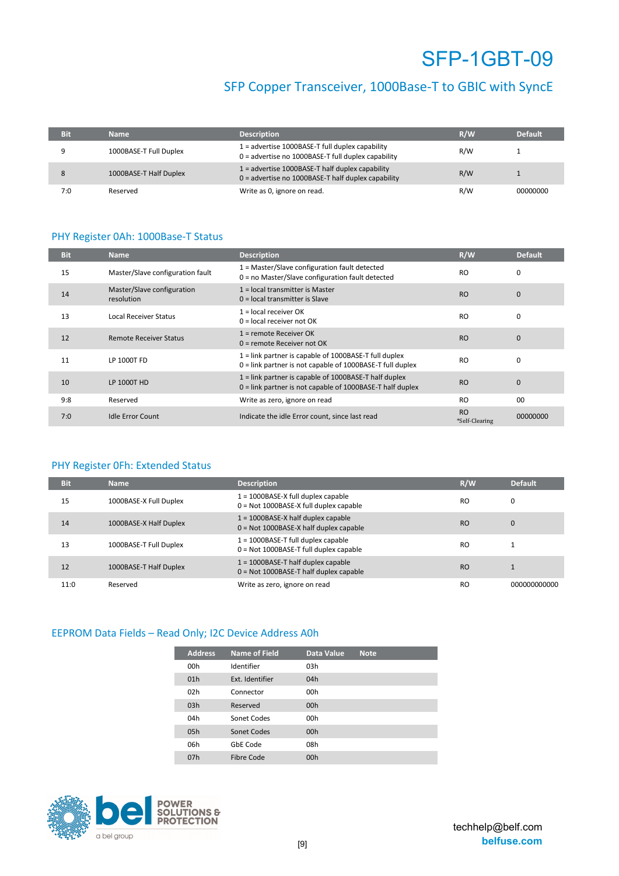### SFP Copper Transceiver, 1000Base-T to GBIC with SyncE

| <b>Bit</b> | Name                   | <b>Description</b>                                                                                        | R/W | <b>Default</b> |
|------------|------------------------|-----------------------------------------------------------------------------------------------------------|-----|----------------|
|            | 1000BASE-T Full Duplex | $1 =$ advertise 1000BASE-T full duplex capability<br>$0 =$ advertise no 1000BASE-T full duplex capability | R/W |                |
|            | 1000BASE-T Half Duplex | $1 =$ advertise 1000BASE-T half duplex capability<br>$0 =$ advertise no 1000BASE-T half duplex capability | R/W |                |
| 7:0        | Reserved               | Write as 0, ignore on read.                                                                               | R/W | 00000000       |

### PHY Register 0Ah: 1000Base-T Status

| <b>Bit</b> | <b>Name</b>                              | <b>Description</b>                                                                                                     | R/W                         | <b>Default</b> |
|------------|------------------------------------------|------------------------------------------------------------------------------------------------------------------------|-----------------------------|----------------|
| 15         | Master/Slave configuration fault         | 1 = Master/Slave configuration fault detected<br>0 = no Master/Slave configuration fault detected                      | <b>RO</b>                   | $\Omega$       |
| 14         | Master/Slave configuration<br>resolution | $1 =$ local transmitter is Master<br>$0 =$ local transmitter is Slave                                                  | <b>RO</b>                   | $\mathbf{0}$   |
| 13         | <b>Local Receiver Status</b>             | $1 =$ local receiver OK<br>$0 =$ local receiver not OK                                                                 | <b>RO</b>                   | 0              |
| 12         | <b>Remote Receiver Status</b>            | $1 =$ remote Receiver OK<br>$0 =$ remote Receiver not OK                                                               | <b>RO</b>                   | $\mathbf{0}$   |
| 11         | LP 1000T FD                              | $1 =$ link partner is capable of 1000BASE-T full duplex<br>$0 =$ link partner is not capable of 1000BASE-T full duplex | <b>RO</b>                   | $\Omega$       |
| 10         | LP 1000T HD                              | $1 =$ link partner is capable of 1000BASE-T half duplex<br>$0 =$ link partner is not capable of 1000BASE-T half duplex | <b>RO</b>                   | $\Omega$       |
| 9:8        | Reserved                                 | Write as zero, ignore on read                                                                                          | <b>RO</b>                   | 0 <sub>0</sub> |
| 7:0        | <b>Idle Error Count</b>                  | Indicate the idle Error count, since last read                                                                         | <b>RO</b><br>*Self-Clearing | 00000000       |

### PHY Register 0Fh: Extended Status

| <b>Bit</b> | <b>Name</b>            | <b>Description</b>                                                               | R/W            | <b>Default</b> |
|------------|------------------------|----------------------------------------------------------------------------------|----------------|----------------|
| 15         | 1000BASE-X Full Duplex | $1 = 1000BASE-X$ full duplex capable<br>$0 = Not 1000BASE-X$ full duplex capable | RO             | 0              |
| 14         | 1000BASE-X Half Duplex | $1 = 1000BASE-X$ half duplex capable<br>$0 = Not 1000BASE-X$ half duplex capable | R <sub>O</sub> | $\mathbf{0}$   |
| 13         | 1000BASE-T Full Duplex | $1 = 1000BASE-T$ full duplex capable<br>$0 = Not 1000BASE-T full duplex capable$ | R <sub>O</sub> |                |
| 12         | 1000BASE-T Half Duplex | $1 = 1000BASE-T$ half duplex capable<br>$0 = Not 1000BASE-T half duplex capable$ | R <sub>O</sub> |                |
| 11:0       | Reserved               | Write as zero, ignore on read                                                    | RO             | 000000000000   |

### EEPROM Data Fields – Read Only; I2C Device Address A0h

| <b>Address</b> | <b>Name of Field</b> | <b>Data Value</b> | <b>Note</b> |
|----------------|----------------------|-------------------|-------------|
| 00h            | Identifier           | 03h               |             |
| 01h            | Ext. Identifier      | 04h               |             |
| 02h            | Connector            | 00h               |             |
| 03h            | Reserved             | 00h               |             |
| 04h            | Sonet Codes          | 00h               |             |
| 0.5h           | Sonet Codes          | 00h               |             |
| 06h            | GbE Code             | 08h               |             |
| 07h            | Fibre Code           | 00h               |             |

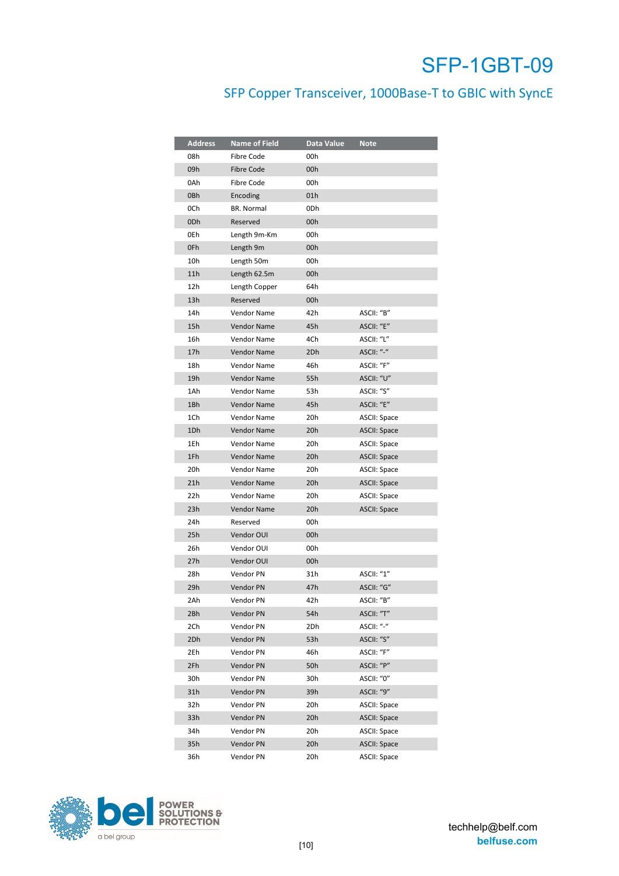## SFP Copper Transceiver, 1000Base-T to GBIC with SyncE

| <b>Address</b> | <b>Name of Field</b> | Data Value | Note                |
|----------------|----------------------|------------|---------------------|
| 08h            | Fibre Code           | 00h        |                     |
| 09h            | Fibre Code           | 00h        |                     |
| 0Ah            | Fibre Code           | 00h        |                     |
| 0Bh            | Encoding             | 01h        |                     |
| 0Ch            | <b>BR. Normal</b>    | 0Dh        |                     |
| 0Dh            | Reserved             | 00h        |                     |
| 0Eh            | Length 9m-Km         | 00h        |                     |
| 0Fh            | Length 9m            | 00h        |                     |
| 10h            | Length 50m           | 00h        |                     |
| 11h            | Length 62.5m         | 00h        |                     |
| 12h            | Length Copper        | 64h        |                     |
| 13h            | Reserved             | 00h        |                     |
| 14h            | Vendor Name          | 42h        | ASCII: "B"          |
| 15h            | <b>Vendor Name</b>   | 45h        | ASCII: "E"          |
| 16h            | Vendor Name          | 4Ch        | ASCII: "L"          |
| 17h            | <b>Vendor Name</b>   | 2Dh        | ASCII: "-"          |
| 18h            | <b>Vendor Name</b>   | 46h        | ASCII: "F"          |
| 19h            | <b>Vendor Name</b>   | 55h        | ASCII: "U"          |
| 1Ah            | Vendor Name          | 53h        | ASCII: "S"          |
| 1Bh            | Vendor Name          | 45h        | ASCII: "E"          |
| 1Ch            | Vendor Name          | 20h        | ASCII: Space        |
| 1Dh            | <b>Vendor Name</b>   | 20h        | <b>ASCII: Space</b> |
| 1Eh            | <b>Vendor Name</b>   | 20h        | ASCII: Space        |
| 1Fh            | <b>Vendor Name</b>   | 20h        | <b>ASCII: Space</b> |
| 20h            | Vendor Name          | 20h        | ASCII: Space        |
| 21h            | Vendor Name          | 20h        | <b>ASCII: Space</b> |
| 22h            | Vendor Name          | 20h        | ASCII: Space        |
| 23h            | <b>Vendor Name</b>   | 20h        | <b>ASCII: Space</b> |
| 24h            | Reserved             | 00h        |                     |
| 25h            | Vendor OUI           | 00h        |                     |
| 26h            | Vendor OUI           | 00h        |                     |
| 27h            | Vendor OUI           | 00h        |                     |
| 28h            | Vendor PN            | 31h        | ASCII: "1"          |
| 29h            | Vendor PN            | 47h        | ASCII: "G"          |
| 2Ah            | Vendor PN            | 42h        | ASCII: "B"          |
| 2Bh            | Vendor PN            | 54h        | ASCII: "T"          |
| 2Ch            | Vendor PN            | 2Dh        | ASCII: "-"          |
| 2Dh            | Vendor PN            | 53h        | ASCII: "S"          |
| 2Eh            | Vendor PN            | 46h        | ASCII: "F"          |
| 2Fh            | <b>Vendor PN</b>     | 50h        | ASCII: "P"          |
| 30h            | Vendor PN            | 30h        | ASCII: "0"          |
| 31h            | Vendor PN            | 39h        | ASCII: "9"          |
| 32h            | Vendor PN            | 20h        | <b>ASCII: Space</b> |
| 33h            | Vendor PN            | 20h        | <b>ASCII: Space</b> |
| 34h            | Vendor PN            | 20h        | ASCII: Space        |
| 35h            | Vendor PN            | 20h        | <b>ASCII: Space</b> |
| 36h            | Vendor PN            | 20h        | ASCII: Space        |

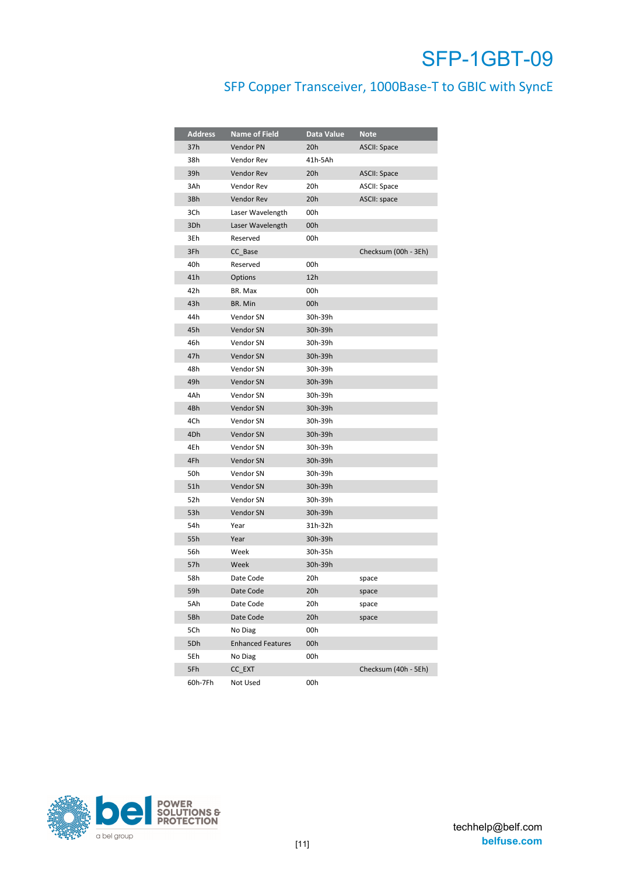## SFP Copper Transceiver, 1000Base-T to GBIC with SyncE

| <b>Address</b> | <b>Name of Field</b>     | Data Value | <b>Note</b>          |
|----------------|--------------------------|------------|----------------------|
| 37h            | Vendor PN                | 20h        | <b>ASCII: Space</b>  |
| 38h            | Vendor Rev               | 41h-5Ah    |                      |
| 39h            | Vendor Rev               | 20h        | <b>ASCII: Space</b>  |
| 3Ah            | Vendor Rev               | 20h        | ASCII: Space         |
| 3Bh            | <b>Vendor Rev</b>        | 20h        | ASCII: space         |
| 3Ch            | Laser Wavelength         | 00h        |                      |
| 3Dh            | Laser Wavelength         | 00h        |                      |
| 3Eh            | Reserved                 | 00h        |                      |
| 3Fh            | CC_Base                  |            | Checksum (00h - 3Eh) |
| 40h            | Reserved                 | 00h        |                      |
| 41h            | Options                  | 12h        |                      |
| 42h            | BR. Max                  | 00h        |                      |
| 43h            | BR. Min                  | 00h        |                      |
| 44h            | Vendor SN                | 30h-39h    |                      |
| 45h            | Vendor SN                | 30h-39h    |                      |
| 46h            | Vendor SN                | 30h-39h    |                      |
| 47h            | Vendor SN                | 30h-39h    |                      |
| 48h            | Vendor SN                | 30h-39h    |                      |
| 49h            | <b>Vendor SN</b>         | 30h-39h    |                      |
| 4Ah            | Vendor SN                | 30h-39h    |                      |
| 4Bh            | <b>Vendor SN</b>         | 30h-39h    |                      |
| 4Ch            | Vendor SN                | 30h-39h    |                      |
| 4Dh            | Vendor SN                | 30h-39h    |                      |
| 4Eh            | Vendor SN                | 30h-39h    |                      |
| 4Fh            | Vendor SN                | 30h-39h    |                      |
| 50h            | Vendor SN                | 30h-39h    |                      |
| 51h            | Vendor SN                | 30h-39h    |                      |
| 52h            | Vendor SN                | 30h-39h    |                      |
| 53h            | <b>Vendor SN</b>         | 30h-39h    |                      |
| 54h            | Year                     | 31h-32h    |                      |
| 55h            | Year                     | 30h-39h    |                      |
| 56h            | Week                     | 30h-35h    |                      |
| 57h            | Week                     | 30h-39h    |                      |
| 58h            | Date Code                | 20h        | space                |
| 59h            | Date Code                | 20h        | space                |
| 5Ah            | Date Code                | 20h        | space                |
| 5Bh            | Date Code                | 20h        | space                |
| 5Ch            | No Diag                  | 00h        |                      |
| 5Dh            | <b>Enhanced Features</b> | 00h        |                      |
| 5Eh            | No Diag                  | 00h        |                      |
| 5Fh            | CC_EXT                   |            | Checksum (40h - 5Eh) |
| 60h-7Fh        | Not Used                 | 00h        |                      |